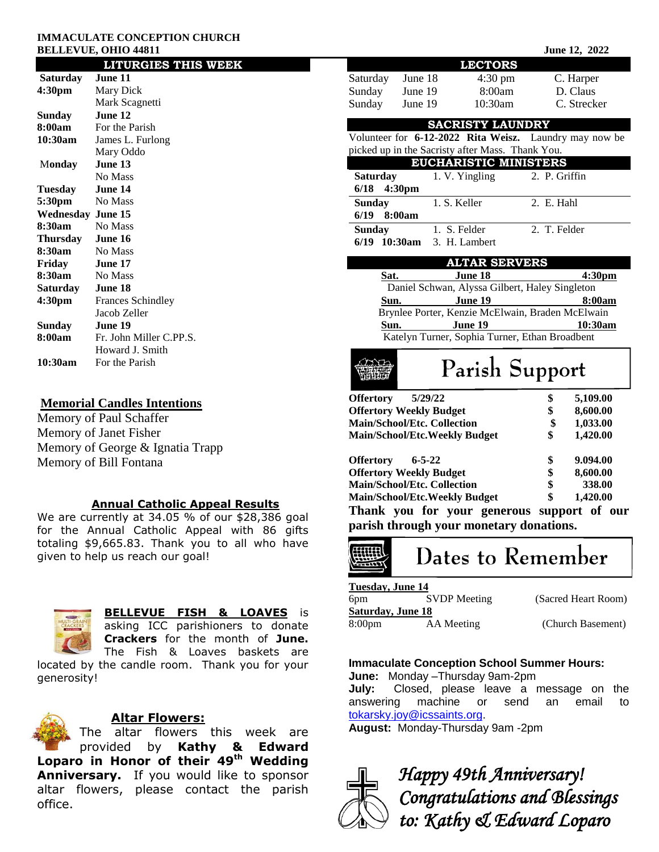#### **IMMACULATE CONCEPTION CHURCH BELLEVUE, OHIO 44811** June 12, 2022

| <b>LITURGIES THIS WEEK</b> |                          |  |  |  |  |
|----------------------------|--------------------------|--|--|--|--|
| Saturday                   | June 11                  |  |  |  |  |
| 4:30 <sub>pm</sub>         | Mary Dick                |  |  |  |  |
|                            | Mark Scagnetti           |  |  |  |  |
| Sunday                     | June 12                  |  |  |  |  |
| 8:00am                     | For the Parish           |  |  |  |  |
| 10:30am                    | James L. Furlong         |  |  |  |  |
|                            | Mary Oddo                |  |  |  |  |
| Monday                     | June 13                  |  |  |  |  |
|                            | No Mass                  |  |  |  |  |
| Tuesday                    | June 14                  |  |  |  |  |
| 5:30pm                     | No Mass                  |  |  |  |  |
| <b>Wednesday June 15</b>   |                          |  |  |  |  |
| 8:30am                     | No Mass                  |  |  |  |  |
| Thursday June 16           |                          |  |  |  |  |
| 8:30am                     | No Mass                  |  |  |  |  |
| Friday                     | June 17                  |  |  |  |  |
| 8:30am                     | No Mass                  |  |  |  |  |
| Saturday                   | June 18                  |  |  |  |  |
| 4:30 <sub>pm</sub>         | <b>Frances Schindley</b> |  |  |  |  |
|                            | Jacob Zeller             |  |  |  |  |
| Sunday                     | June 19                  |  |  |  |  |
| 8:00am                     | Fr. John Miller C.PP.S.  |  |  |  |  |
|                            | Howard J. Smith          |  |  |  |  |
| 10:30am                    | For the Parish           |  |  |  |  |

## **Memorial Candles Intentions**

Memory of Paul Schaffer Memory of Janet Fisher Memory of George & Ignatia Trapp Memory of Bill Fontana

#### **Annual Catholic Appeal Results**

We are currently at 34.05 % of our \$28,386 goal for the Annual Catholic Appeal with 86 gifts totaling \$9,665.83. Thank you to all who have given to help us reach our goal!



## **BELLEVUE FISH & LOAVES** is

asking ICC parishioners to donate **Crackers** for the month of **June.** The Fish & Loaves baskets are

located by the candle room. Thank you for your generosity!



## **Altar Flowers:**

The altar flowers this week are provided by **Kathy & Edward Loparo in Honor of their 49th Wedding Anniversary.** If you would like to sponsor altar flowers, please contact the parish office.

| <b>LECTORS</b>                                                                   |                                                  |                   |               |                    |  |
|----------------------------------------------------------------------------------|--------------------------------------------------|-------------------|---------------|--------------------|--|
| Saturday                                                                         | June 18                                          | $4:30 \text{ pm}$ |               | C. Harper          |  |
| Sunday                                                                           | June 19                                          | 8:00am            |               | D. Claus           |  |
| Sunday                                                                           | June 19                                          | 10:30am           |               | C. Strecker        |  |
|                                                                                  |                                                  |                   |               |                    |  |
| <b>SACRISTY LAUNDRY</b>                                                          |                                                  |                   |               |                    |  |
| Volunteer for 6-12-2022 Rita Weisz. Laundry may now be                           |                                                  |                   |               |                    |  |
| picked up in the Sacristy after Mass. Thank You.<br><b>EUCHARISTIC MINISTERS</b> |                                                  |                   |               |                    |  |
|                                                                                  |                                                  | 1. V. Yingling    | 2. P. Griffin |                    |  |
| <b>Saturday</b><br>6/18                                                          | 4:30pm                                           |                   |               |                    |  |
|                                                                                  | 1. S. Keller                                     |                   | 2. E. Hahl    |                    |  |
| <b>Sunday</b>                                                                    |                                                  |                   |               |                    |  |
| 6/19                                                                             | 8:00am                                           |                   | 2. T. Felder  |                    |  |
| <b>Sunday</b>                                                                    | 1. S. Felder                                     | 3. H. Lambert     |               |                    |  |
| 6/19 10:30am                                                                     |                                                  |                   |               |                    |  |
| <b>ALTAR SERVERS</b>                                                             |                                                  |                   |               |                    |  |
| Sat.                                                                             |                                                  | June 18           |               | 4:30 <sub>pm</sub> |  |
|                                                                                  | Daniel Schwan, Alyssa Gilbert, Haley Singleton   |                   |               |                    |  |
| Sun.                                                                             |                                                  | June 19           |               | 8:00am             |  |
|                                                                                  | Brynlee Porter, Kenzie McElwain, Braden McElwain |                   |               |                    |  |
| Sun.                                                                             |                                                  | June 19           |               | 10:30am            |  |
| Katelyn Turner, Sophia Turner, Ethan Broadbent                                   |                                                  |                   |               |                    |  |
| Parish Support                                                                   |                                                  |                   |               |                    |  |
| <b>Offertory</b>                                                                 | 5/29/22                                          |                   | \$            | 5,109.00           |  |
|                                                                                  | <b>Offertory Weekly Budget</b>                   |                   | \$            | 8,600.00           |  |
| <b>Main/School/Etc. Collection</b>                                               |                                                  |                   | \$            | 1,033.00           |  |
| <b>Main/School/Etc.Weekly Budget</b>                                             |                                                  |                   | \$            | 1,420.00           |  |
|                                                                                  |                                                  |                   |               |                    |  |
| <b>Offertory</b>                                                                 | $6 - 5 - 22$                                     |                   | \$            | 9.094.00           |  |
|                                                                                  | <b>Offertory Weekly Budget</b>                   |                   | \$            | 8,600.00           |  |
| <b>Main/School/Etc. Collection</b>                                               |                                                  |                   | \$            | 338.00             |  |
| \$<br><b>Main/School/Etc.Weekly Budget</b><br>1,420.00                           |                                                  |                   |               |                    |  |
| Thank you for your generous support of our                                       |                                                  |                   |               |                    |  |
| parish through your monetary donations.                                          |                                                  |                   |               |                    |  |
| Dates to Remember                                                                |                                                  |                   |               |                    |  |

#### **Tuesday, June 14**

| Turbuay, gunt 17    |                     |
|---------------------|---------------------|
| <b>SVDP</b> Meeting | (Sacred Heart Room) |
| Saturdav, June 18   |                     |
| AA Meeting          | (Church Basement)   |
|                     |                     |

## **Immaculate Conception School Summer Hours:**

**June:** Monday –Thursday 9am-2pm

**July:** Closed, please leave a message on the answering machine or send an email to [tokarsky.joy@icssaints.org.](mailto:tokarsky.joy@icssaints.org)

**August:** Monday-Thursday 9am -2pm



*Happy 49th Anniversary! Congratulations and Blessings to: Kathy & Edward Loparo*